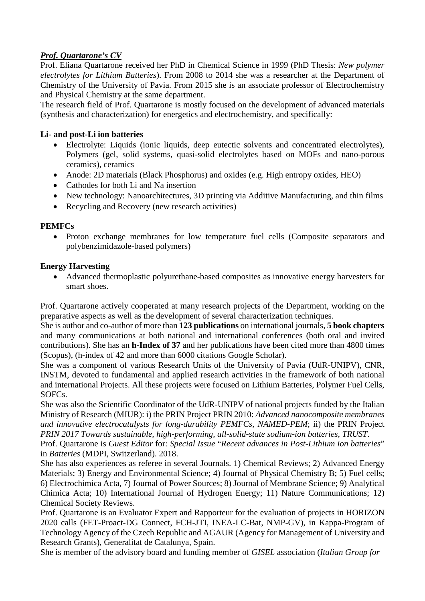## *Prof. Quartarone's CV*

Prof. Eliana Quartarone received her PhD in Chemical Science in 1999 (PhD Thesis: *New polymer electrolytes for Lithium Batteries*). From 2008 to 2014 she was a researcher at the Department of Chemistry of the University of Pavia. From 2015 she is an associate professor of Electrochemistry and Physical Chemistry at the same department.

The research field of Prof. Quartarone is mostly focused on the development of advanced materials (synthesis and characterization) for energetics and electrochemistry, and specifically:

## **Li- and post-Li ion batteries**

- Electrolyte: Liquids (ionic liquids, deep eutectic solvents and concentrated electrolytes), Polymers (gel, solid systems, quasi-solid electrolytes based on MOFs and nano-porous ceramics), ceramics
- Anode: 2D materials (Black Phosphorus) and oxides (e.g. High entropy oxides, HEO)
- Cathodes for both Li and Na insertion
- New technology: Nanoarchitectures, 3D printing via Additive Manufacturing, and thin films
- Recycling and Recovery (new research activities)

## **PEMFCs**

• Proton exchange membranes for low temperature fuel cells (Composite separators and polybenzimidazole-based polymers)

## **Energy Harvesting**

• Advanced thermoplastic polyurethane-based composites as innovative energy harvesters for smart shoes.

Prof. Quartarone actively cooperated at many research projects of the Department, working on the preparative aspects as well as the development of several characterization techniques.

She is author and co-author of more than **123 publications** on international journals, **5 book chapters** and many communications at both national and international conferences (both oral and invited contributions). She has an **h-Index of 37** and her publications have been cited more than 4800 times (Scopus), (h-index of 42 and more than 6000 citations Google Scholar).

She was a component of various Research Units of the University of Pavia (UdR-UNIPV), CNR, INSTM, devoted to fundamental and applied research activities in the framework of both national and international Projects. All these projects were focused on Lithium Batteries, Polymer Fuel Cells, SOFCs.

She was also the Scientific Coordinator of the UdR-UNIPV of national projects funded by the Italian Ministry of Research (MIUR): i) the PRIN Project PRIN 2010: *Advanced nanocomposite membranes and innovative electrocatalysts for long-durability PEMFCs, NAMED-PEM*; ii) the PRIN Project *PRIN 2017 Towards sustainable, high-performing, all-solid-state sodium-ion batteries, TRUST*.

Prof. Quartarone is *Guest Editor* for: *Special Issue* "*Recent advances in Post-Lithium ion batteries*" in *Batteries* (MDPI, Switzerland). 2018.

She has also experiences as referee in several Journals. 1) Chemical Reviews; 2) Advanced Energy Materials; 3) Energy and Environmental Science; 4) Journal of Physical Chemistry B; 5) Fuel cells; 6) Electrochimica Acta, 7) Journal of Power Sources; 8) Journal of Membrane Science; 9) Analytical Chimica Acta; 10) International Journal of Hydrogen Energy; 11) Nature Communications; 12) Chemical Society Reviews.

Prof. Quartarone is an Evaluator Expert and Rapporteur for the evaluation of projects in HORIZON 2020 calls (FET-Proact-DG Connect, FCH-JTI, INEA-LC-Bat, NMP-GV), in Kappa-Program of Technology Agency of the Czech Republic and AGAUR (Agency for Management of University and Research Grants), Generalitat de Catalunya, Spain.

She is member of the advisory board and funding member of *GISEL* association (*Italian Group for*